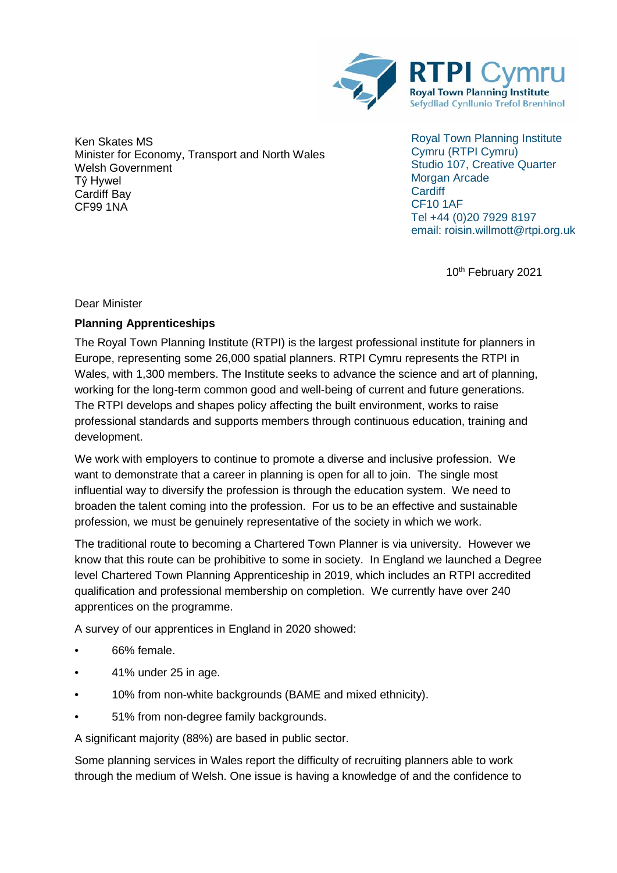

Ken Skates MS Minister for Economy, Transport and North Wales Welsh Government Tŷ Hywel Cardiff Bay CF99 1NA

Royal Town Planning Institute Cymru (RTPI Cymru) Studio 107, Creative Quarter Morgan Arcade **Cardiff** CF10 1AF Tel +44 (0)20 7929 8197 email: roisin.willmott@rtpi.org.uk

10<sup>th</sup> February 2021

Dear Minister

## **Planning Apprenticeships**

The Royal Town Planning Institute (RTPI) is the largest professional institute for planners in Europe, representing some 26,000 spatial planners. RTPI Cymru represents the RTPI in Wales, with 1,300 members. The Institute seeks to advance the science and art of planning, working for the long-term common good and well-being of current and future generations. The RTPI develops and shapes policy affecting the built environment, works to raise professional standards and supports members through continuous education, training and development.

We work with employers to continue to promote a diverse and inclusive profession. We want to demonstrate that a career in planning is open for all to join. The single most influential way to diversify the profession is through the education system. We need to broaden the talent coming into the profession. For us to be an effective and sustainable profession, we must be genuinely representative of the society in which we work.

The traditional route to becoming a Chartered Town Planner is via university. However we know that this route can be prohibitive to some in society. In England we launched a Degree level Chartered Town Planning Apprenticeship in 2019, which includes an RTPI accredited qualification and professional membership on completion. We currently have over 240 apprentices on the programme.

A survey of our apprentices in England in 2020 showed:

- 66% female.
- 41% under 25 in age.
- 10% from non-white backgrounds (BAME and mixed ethnicity).
- 51% from non-degree family backgrounds.

A significant majority (88%) are based in public sector.

Some planning services in Wales report the difficulty of recruiting planners able to work through the medium of Welsh. One issue is having a knowledge of and the confidence to